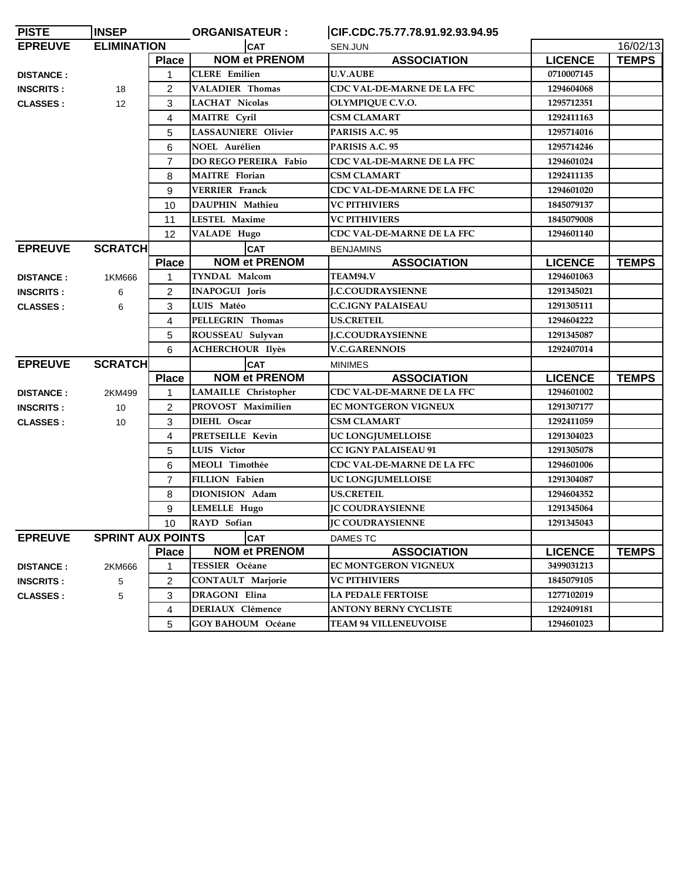| <b>PISTE</b>     | <b>INSEP</b>             |                | <b>ORGANISATEUR:</b>       | CIF.CDC.75.77.78.91.92.93.94.95 |                |              |
|------------------|--------------------------|----------------|----------------------------|---------------------------------|----------------|--------------|
| <b>EPREUVE</b>   | <b>ELIMINATION</b>       |                | <b>CAT</b>                 | SEN.JUN                         |                | 16/02/13     |
|                  |                          | <b>Place</b>   | <b>NOM et PRENOM</b>       | <b>ASSOCIATION</b>              | <b>LICENCE</b> | <b>TEMPS</b> |
| <b>DISTANCE:</b> |                          | 1              | <b>CLERE</b> Emilien       | <b>U.V.AUBE</b>                 | 0710007145     |              |
| <b>INSCRITS:</b> | 18                       | 2              | <b>VALADIER Thomas</b>     | CDC VAL-DE-MARNE DE LA FFC      | 1294604068     |              |
| <b>CLASSES:</b>  | 12                       | 3              | <b>LACHAT Nicolas</b>      | OLYMPIQUE C.V.O.                | 1295712351     |              |
|                  |                          | 4              | <b>MAITRE</b> Cyril        | <b>CSM CLAMART</b>              | 1292411163     |              |
|                  |                          | 5              | <b>LASSAUNIERE Olivier</b> | PARISIS A.C. 95                 | 1295714016     |              |
|                  |                          | 6              | <b>NOEL Aurélien</b>       | PARISIS A.C. 95                 | 1295714246     |              |
|                  |                          | $\overline{7}$ | DO REGO PEREIRA Fabio      | CDC VAL-DE-MARNE DE LA FFC      | 1294601024     |              |
|                  |                          | 8              | <b>MAITRE</b> Florian      | <b>CSM CLAMART</b>              | 1292411135     |              |
|                  |                          | 9              | <b>VERRIER</b> Franck      | CDC VAL-DE-MARNE DE LA FFC      | 1294601020     |              |
|                  |                          | 10             | DAUPHIN Mathieu            | <b>VC PITHIVIERS</b>            | 1845079137     |              |
|                  |                          | 11             | <b>LESTEL Maxime</b>       | <b>VC PITHIVIERS</b>            | 1845079008     |              |
|                  |                          | 12             | <b>VALADE Hugo</b>         | CDC VAL-DE-MARNE DE LA FFC      | 1294601140     |              |
| <b>EPREUVE</b>   | <b>SCRATCH</b>           |                | <b>CAT</b>                 | <b>BENJAMINS</b>                |                |              |
|                  |                          | <b>Place</b>   | <b>NOM et PRENOM</b>       | <b>ASSOCIATION</b>              | <b>LICENCE</b> | <b>TEMPS</b> |
| <b>DISTANCE:</b> | 1KM666                   | 1              | <b>TYNDAL Malcom</b>       | TEAM94.V                        | 1294601063     |              |
| <b>INSCRITS:</b> | 6                        | $\overline{2}$ | <b>INAPOGUI Joris</b>      | <b>J.C.COUDRAYSIENNE</b>        | 1291345021     |              |
| <b>CLASSES:</b>  | 6                        | 3              | LUIS Matéo                 | <b>C.C.IGNY PALAISEAU</b>       | 1291305111     |              |
|                  |                          | 4              | PELLEGRIN Thomas           | <b>US.CRETEIL</b>               | 1294604222     |              |
|                  |                          | 5              | ROUSSEAU Sulyvan           | <b>I.C.COUDRAYSIENNE</b>        | 1291345087     |              |
|                  |                          | 6              | <b>ACHERCHOUR Ilyès</b>    | <b>V.C.GARENNOIS</b>            | 1292407014     |              |
| <b>EPREUVE</b>   | <b>SCRATCH</b>           |                | <b>CAT</b>                 | <b>MINIMES</b>                  |                |              |
|                  |                          | <b>Place</b>   | <b>NOM et PRENOM</b>       | <b>ASSOCIATION</b>              | <b>LICENCE</b> | <b>TEMPS</b> |
| <b>DISTANCE:</b> | 2KM499                   | $\mathbf{1}$   | LAMAILLE Christopher       | CDC VAL-DE-MARNE DE LA FFC      | 1294601002     |              |
| <b>INSCRITS:</b> | 10                       | $\overline{2}$ | PROVOST Maximilien         | <b>EC MONTGERON VIGNEUX</b>     | 1291307177     |              |
| <b>CLASSES:</b>  | 10                       | 3              | DIEHL Oscar                | <b>CSM CLAMART</b>              | 1292411059     |              |
|                  |                          | 4              | PRETSEILLE Kevin           | UC LONGJUMELLOISE               | 1291304023     |              |
|                  |                          | 5              | LUIS Victor                | <b>CC IGNY PALAISEAU 91</b>     | 1291305078     |              |
|                  |                          | 6              | MEOLI Timothée             | CDC VAL-DE-MARNE DE LA FFC      | 1294601006     |              |
|                  |                          | 7              | FILLION Fabien             | UC LONGJUMELLOISE               | 1291304087     |              |
|                  |                          | 8              | DIONISION Adam             | <b>US.CRETEIL</b>               | 1294604352     |              |
|                  |                          | 9              | <b>LEMELLE Hugo</b>        | <b>JC COUDRAYSIENNE</b>         | 1291345064     |              |
|                  |                          |                | 10 RAYD Sofian             | <b>JC COUDRAYSIENNE</b>         | 1291345043     |              |
| <b>EPREUVE</b>   | <b>SPRINT AUX POINTS</b> |                | <b>CAT</b>                 | DAMES TC                        |                |              |
|                  |                          | <b>Place</b>   | <b>NOM et PRENOM</b>       | <b>ASSOCIATION</b>              | <b>LICENCE</b> | <b>TEMPS</b> |
| <b>DISTANCE:</b> | 2KM666                   | $\mathbf{1}$   | TESSIER Océane             | <b>EC MONTGERON VIGNEUX</b>     | 3499031213     |              |
| <b>INSCRITS:</b> | 5                        | $\overline{2}$ | <b>CONTAULT Marjorie</b>   | <b>VC PITHIVIERS</b>            | 1845079105     |              |
| <b>CLASSES:</b>  | 5                        | 3              | <b>DRAGONI</b> Elina       | <b>LA PEDALE FERTOISE</b>       | 1277102019     |              |
|                  |                          | 4              | <b>DERIAUX Clémence</b>    | <b>ANTONY BERNY CYCLISTE</b>    | 1292409181     |              |
|                  |                          | 5              | <b>GOY BAHOUM Océane</b>   | <b>TEAM 94 VILLENEUVOISE</b>    | 1294601023     |              |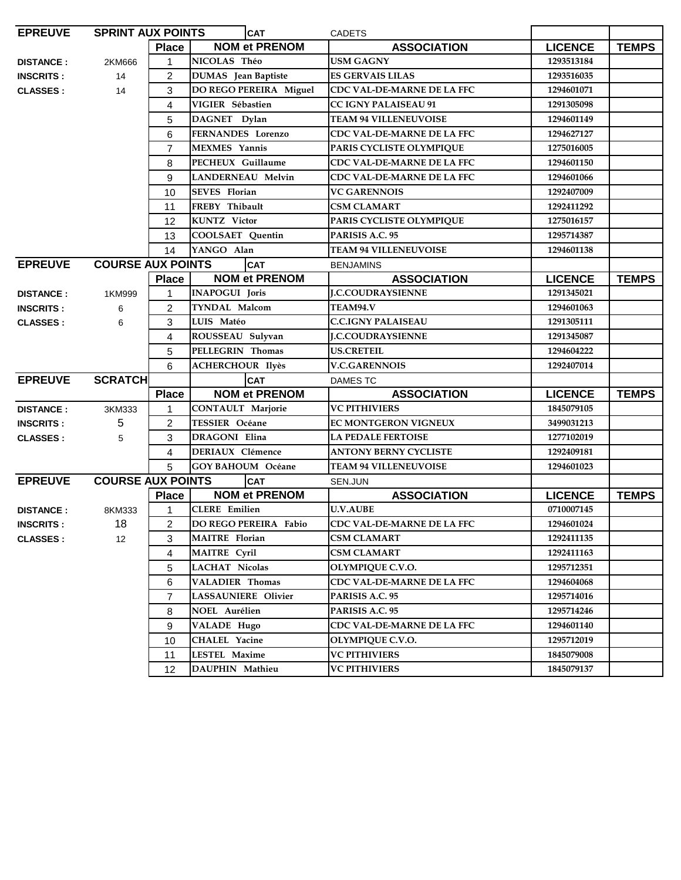| <b>EPREUVE</b>   | <b>SPRINT AUX POINTS</b> |                | <b>CAT</b>                 | <b>CADETS</b>                     |                |              |
|------------------|--------------------------|----------------|----------------------------|-----------------------------------|----------------|--------------|
|                  |                          | <b>Place</b>   | <b>NOM et PRENOM</b>       | <b>ASSOCIATION</b>                | <b>LICENCE</b> | <b>TEMPS</b> |
| <b>DISTANCE:</b> | 2KM666                   | $\mathbf{1}$   | NICOLAS Théo               | <b>USM GAGNY</b>                  | 1293513184     |              |
| <b>INSCRITS:</b> | 14                       | $\overline{2}$ | <b>DUMAS</b> Jean Baptiste | <b>ES GERVAIS LILAS</b>           | 1293516035     |              |
| <b>CLASSES:</b>  | 14                       | 3              | DO REGO PEREIRA Miguel     | CDC VAL-DE-MARNE DE LA FFC        | 1294601071     |              |
|                  |                          | 4              | VIGIER Sébastien           | <b>CC IGNY PALAISEAU 91</b>       | 1291305098     |              |
|                  |                          | 5              | DAGNET Dylan               | <b>TEAM 94 VILLENEUVOISE</b>      | 1294601149     |              |
|                  |                          | 6              | <b>FERNANDES</b> Lorenzo   | <b>CDC VAL-DE-MARNE DE LA FFC</b> | 1294627127     |              |
|                  |                          | $\overline{7}$ | <b>MEXMES</b> Yannis       | PARIS CYCLISTE OLYMPIQUE          | 1275016005     |              |
|                  |                          | 8              | PECHEUX Guillaume          | CDC VAL-DE-MARNE DE LA FFC        | 1294601150     |              |
|                  |                          | 9              | <b>LANDERNEAU Melvin</b>   | CDC VAL-DE-MARNE DE LA FFC        | 1294601066     |              |
|                  |                          | 10             | <b>SEVES</b> Florian       | <b>VC GARENNOIS</b>               | 1292407009     |              |
|                  |                          | 11             | FREBY Thibault             | <b>CSM CLAMART</b>                | 1292411292     |              |
|                  |                          | 12             | <b>KUNTZ</b> Victor        | PARIS CYCLISTE OLYMPIQUE          | 1275016157     |              |
|                  |                          | 13             | COOLSAET Quentin           | PARISIS A.C. 95                   | 1295714387     |              |
|                  |                          | 14             | YANGO Alan                 | <b>TEAM 94 VILLENEUVOISE</b>      | 1294601138     |              |
| <b>EPREUVE</b>   | <b>COURSE AUX POINTS</b> |                | <b>CAT</b>                 | <b>BENJAMINS</b>                  |                |              |
|                  |                          | <b>Place</b>   | <b>NOM et PRENOM</b>       | <b>ASSOCIATION</b>                | <b>LICENCE</b> | <b>TEMPS</b> |
| <b>DISTANCE:</b> | 1KM999                   | 1              | <b>INAPOGUI Joris</b>      | <b>J.C.COUDRAYSIENNE</b>          | 1291345021     |              |
| <b>INSCRITS:</b> | 6                        | $\overline{2}$ | <b>TYNDAL Malcom</b>       | TEAM94.V                          | 1294601063     |              |
| <b>CLASSES:</b>  | 6                        | 3              | LUIS Matéo                 | <b>C.C.IGNY PALAISEAU</b>         | 1291305111     |              |
|                  |                          | 4              | ROUSSEAU Sulyvan           | <b>I.C.COUDRAYSIENNE</b>          | 1291345087     |              |
|                  |                          | 5              | PELLEGRIN Thomas           | <b>US.CRETEIL</b>                 | 1294604222     |              |
|                  |                          | 6              | <b>ACHERCHOUR Ilyès</b>    | <b>V.C.GARENNOIS</b>              | 1292407014     |              |
| <b>EPREUVE</b>   | <b>SCRATCH</b>           |                | <b>CAT</b>                 | <b>DAMES TC</b>                   |                |              |
|                  |                          | <b>Place</b>   | <b>NOM et PRENOM</b>       | <b>ASSOCIATION</b>                | <b>LICENCE</b> | <b>TEMPS</b> |
| <b>DISTANCE:</b> | 3KM333                   | 1              | <b>CONTAULT Marjorie</b>   | <b>VC PITHIVIERS</b>              | 1845079105     |              |
| <b>INSCRITS:</b> | 5                        | $\overline{2}$ | <b>TESSIER Océane</b>      | <b>EC MONTGERON VIGNEUX</b>       | 3499031213     |              |
| <b>CLASSES:</b>  | 5                        | 3              | <b>DRAGONI Elina</b>       | <b>LA PEDALE FERTOISE</b>         | 1277102019     |              |
|                  |                          | 4              | <b>DERIAUX Clémence</b>    | <b>ANTONY BERNY CYCLISTE</b>      | 1292409181     |              |
|                  |                          | 5              | <b>GOY BAHOUM</b> Océane   | <b>TEAM 94 VILLENEUVOISE</b>      | 1294601023     |              |
| <b>EPREUVE</b>   | <b>COURSE AUX POINTS</b> |                | <b>CAT</b>                 | SEN.JUN                           |                |              |
|                  |                          | <b>Place</b>   | <b>NOM et PRENOM</b>       | <b>ASSOCIATION</b>                | <b>LICENCE</b> | <b>TEMPS</b> |
| <b>DISTANCE:</b> | 8KM333                   | 1              | <b>CLERE</b> Emilien       | <b>U.V.AUBE</b>                   | 0710007145     |              |
| <b>INSCRITS:</b> | 18                       | $\overline{2}$ | DO REGO PEREIRA Fabio      | <b>CDC VAL-DE-MARNE DE LA FFC</b> | 1294601024     |              |
| <b>CLASSES:</b>  | 12                       | 3              | <b>MAITRE</b> Florian      | <b>CSM CLAMART</b>                | 1292411135     |              |
|                  |                          | 4              | <b>MAITRE</b> Cyril        | <b>CSM CLAMART</b>                | 1292411163     |              |
|                  |                          | 5              | <b>LACHAT Nicolas</b>      | OLYMPIQUE C.V.O.                  | 1295712351     |              |
|                  |                          | 6              | VALADIER Thomas            | CDC VAL-DE-MARNE DE LA FFC        | 1294604068     |              |
|                  |                          | 7              | <b>LASSAUNIERE Olivier</b> | PARISIS A.C. 95                   | 1295714016     |              |
|                  |                          | 8              | <b>NOEL Aurélien</b>       | PARISIS A.C. 95                   | 1295714246     |              |
|                  |                          | 9              | <b>VALADE Hugo</b>         | CDC VAL-DE-MARNE DE LA FFC        | 1294601140     |              |
|                  |                          | 10             | <b>CHALEL Yacine</b>       | <b>OLYMPIQUE C.V.O.</b>           | 1295712019     |              |
|                  |                          | 11             | <b>LESTEL Maxime</b>       | <b>VC PITHIVIERS</b>              | 1845079008     |              |
|                  |                          | 12             | DAUPHIN Mathieu            | <b>VC PITHIVIERS</b>              | 1845079137     |              |